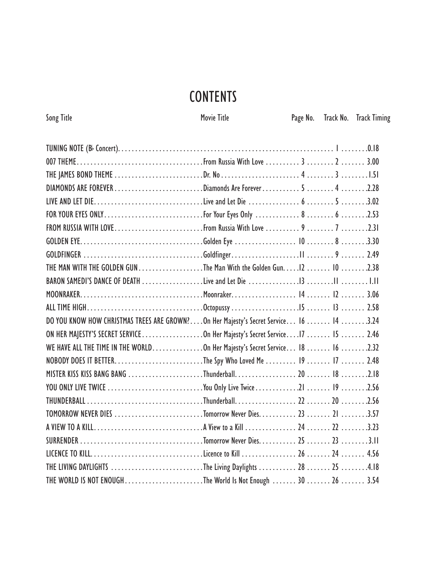## **CONTENTS**

Song Title Company of Title Movie Title Page No. Track No. Track Timing

| THE MAN WITH THE GOLDEN GUN The Man With the Golden Gun. 12 10 2.38                   |  |  |
|---------------------------------------------------------------------------------------|--|--|
|                                                                                       |  |  |
|                                                                                       |  |  |
|                                                                                       |  |  |
| DO YOU KNOW HOW CHRISTMAS TREES ARE GROWN?On Her Majesty's Secret Service 16  14 3.24 |  |  |
| ON HER MAJESTY'S SECRET SERVICEOn Her Majesty's Secret Service17  15  2.46            |  |  |
| WE HAVE ALL THE TIME IN THE WORLDOn Her Majesty's Secret Service 18  16 2.32          |  |  |
|                                                                                       |  |  |
| MISTER KISS KISS BANG BANG Thunderball 20  18 2.18                                    |  |  |
|                                                                                       |  |  |
|                                                                                       |  |  |
| TOMORROW NEVER DIES Tomorrow Never Dies 23  21 3.57                                   |  |  |
|                                                                                       |  |  |
|                                                                                       |  |  |
|                                                                                       |  |  |
| THE LIVING DAYLIGHTS The Living Daylights  28  25 4.18                                |  |  |
| THE WORLD IS NOT ENOUGHThe World Is Not Enough  30  26  3.54                          |  |  |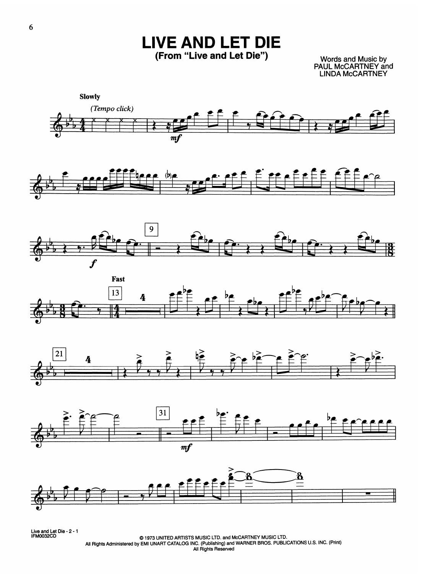**LIVE AND LET DIE** (From "Live and Let Die")

Words and Music by<br>PAUL McCARTNEY and<br>LINDA McCARTNEY















Live and Let Die - 2 - 1<br>IFM0032CD

© 1973 UNITED ARTISTS MUSIC LTD. and McCARTNEY MUSIC LTD.<br>All Rights Administered by EMI UNART CATALOG INC. (Publishing) and WARNER BROS. PUBLICATIONS U.S. INC. (Print) All Rights Reserved